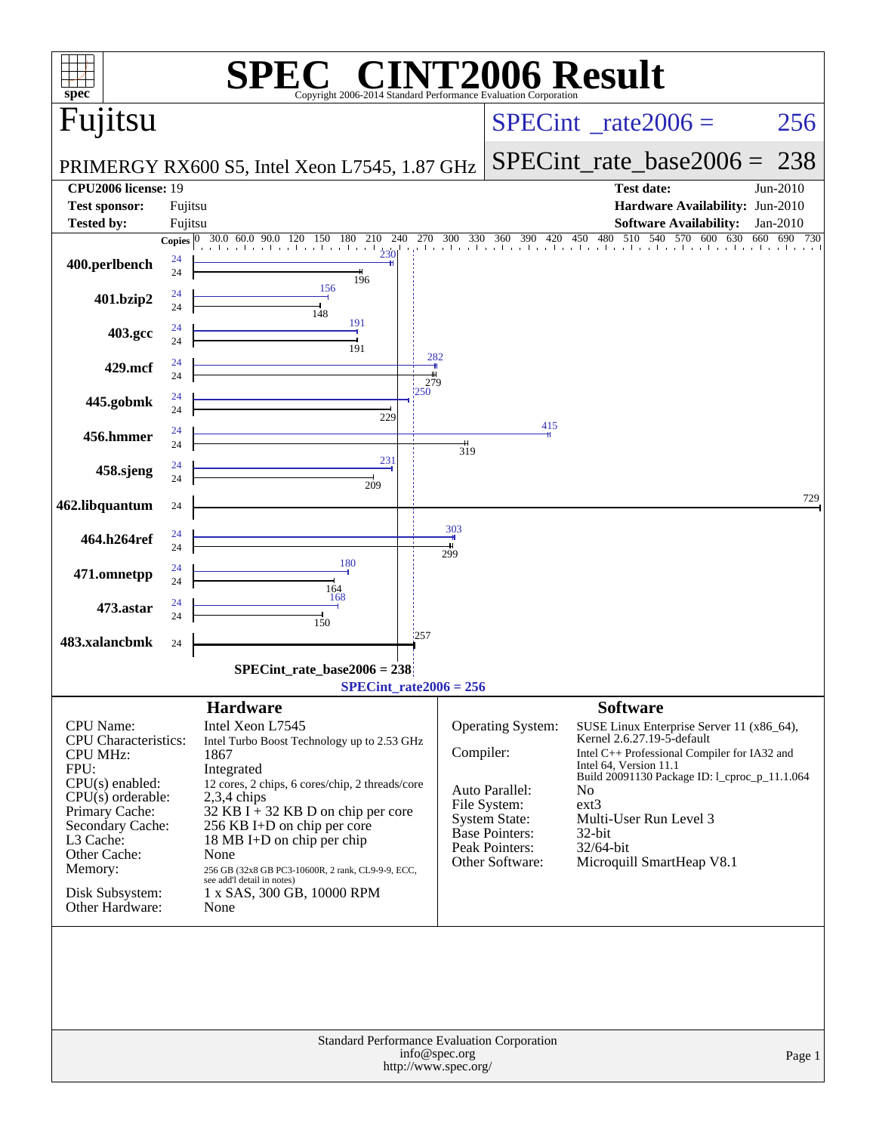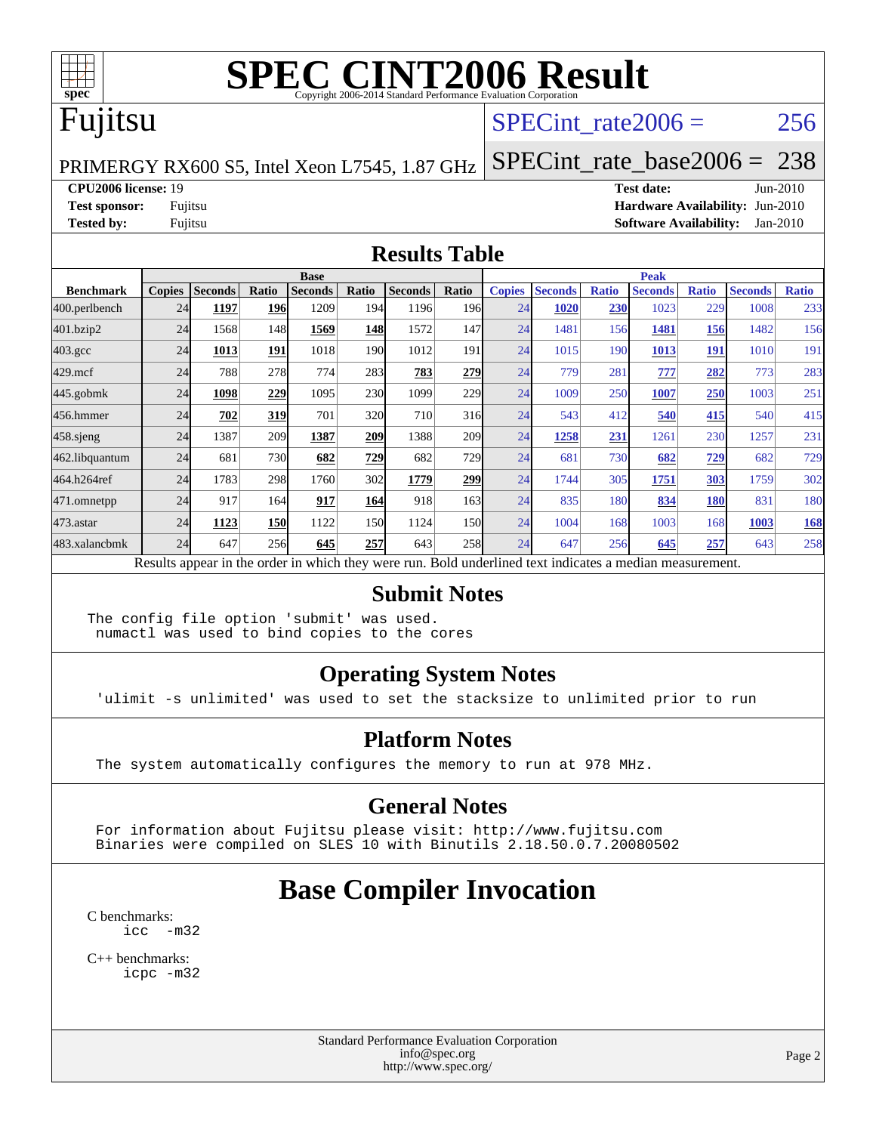

# Fujitsu

### SPECint rate $2006 = 256$

PRIMERGY RX600 S5, Intel Xeon L7545, 1.87 GHz

[SPECint\\_rate\\_base2006 =](http://www.spec.org/auto/cpu2006/Docs/result-fields.html#SPECintratebase2006) 238

#### **[CPU2006 license:](http://www.spec.org/auto/cpu2006/Docs/result-fields.html#CPU2006license)** 19 **[Test date:](http://www.spec.org/auto/cpu2006/Docs/result-fields.html#Testdate)** Jun-2010

**[Test sponsor:](http://www.spec.org/auto/cpu2006/Docs/result-fields.html#Testsponsor)** Fujitsu **[Hardware Availability:](http://www.spec.org/auto/cpu2006/Docs/result-fields.html#HardwareAvailability)** Jun-2010 **[Tested by:](http://www.spec.org/auto/cpu2006/Docs/result-fields.html#Testedby)** Fujitsu **[Software Availability:](http://www.spec.org/auto/cpu2006/Docs/result-fields.html#SoftwareAvailability)** Jan-2010

#### **[Results Table](http://www.spec.org/auto/cpu2006/Docs/result-fields.html#ResultsTable)**

|                  | <b>Base</b>   |                |            |                |                  |                                                                                                          |                  | <b>Peak</b>   |                |              |                |              |                |              |
|------------------|---------------|----------------|------------|----------------|------------------|----------------------------------------------------------------------------------------------------------|------------------|---------------|----------------|--------------|----------------|--------------|----------------|--------------|
| <b>Benchmark</b> | <b>Copies</b> | <b>Seconds</b> | Ratio      | <b>Seconds</b> | Ratio            | <b>Seconds</b>                                                                                           | Ratio            | <b>Copies</b> | <b>Seconds</b> | <b>Ratio</b> | <b>Seconds</b> | <b>Ratio</b> | <b>Seconds</b> | <b>Ratio</b> |
| 400.perlbench    | 24            | 1197           | 196        | 1209           | 194              | 1196                                                                                                     | 196 <sub>l</sub> | 24            | 1020           | 230          | 1023           | 229          | 1008           | 233          |
| 401.bzip2        | 24            | 1568           | 148        | 1569           | 148              | 1572                                                                                                     | 147              | 24            | 1481           | 156          | 1481           | 156          | 1482           | 156          |
| $403.\text{gcc}$ | 24            | 1013           | 191        | 1018           | 190 <sub>l</sub> | 1012                                                                                                     | 191              | 24            | 1015           | 190          | 1013           | 191          | 1010           | 191          |
| $429$ .mcf       | 24            | 788            | 278        | 774            | 283              | 783                                                                                                      | 279              | 24            | 779            | 281          | 777            | 282          | 773            | 283          |
| $445$ .gobmk     | 24            | 1098           | 229        | 1095           | 230              | 1099                                                                                                     | 229              | 24            | 1009           | 250          | 1007           | 250          | 1003           | 251          |
| 456.hmmer        | 24            | 702            | 319        | 701            | 320              | 710                                                                                                      | 316              | 24            | 543            | 412          | 540            | 415          | 540            | 415          |
| $458$ .sjeng     | 24            | 1387           | 209        | 1387           | 209              | 1388                                                                                                     | 209              | 24            | 1258           | 231          | 1261           | 230          | 1257           | 231          |
| 462.libquantum   | 24            | 681            | 730        | 682            | 729              | 682                                                                                                      | 729              | 24            | 681            | 730          | 682            | <u>729</u>   | 682            | 729          |
| 464.h264ref      | 24            | 1783           | 298        | 1760           | 302              | 1779                                                                                                     | 299              | 24            | 1744           | 305          | 1751           | 303          | 1759           | 302          |
| 471.omnetpp      | 24            | 917            | 164        | 917            | 164              | 918                                                                                                      | 163              | 24            | 835            | 180          | 834            | 180          | 831            | 180          |
| $473$ . astar    | 24            | 1123           | <b>150</b> | 1122           | <b>150</b>       | 1124                                                                                                     | 150              | 24            | 1004           | 168          | 1003           | 168          | 1003           | <b>168</b>   |
| 483.xalancbmk    | 24            | 647            | 256        | 645            | 257              | 643                                                                                                      | 258              | 24            | 647            | 256          | 645            | 257          | 643            | 258          |
|                  |               |                |            |                |                  | Results appear in the order in which they were run. Bold underlined text indicates a median measurement. |                  |               |                |              |                |              |                |              |

#### **[Submit Notes](http://www.spec.org/auto/cpu2006/Docs/result-fields.html#SubmitNotes)**

The config file option 'submit' was used. numactl was used to bind copies to the cores

### **[Operating System Notes](http://www.spec.org/auto/cpu2006/Docs/result-fields.html#OperatingSystemNotes)**

'ulimit -s unlimited' was used to set the stacksize to unlimited prior to run

#### **[Platform Notes](http://www.spec.org/auto/cpu2006/Docs/result-fields.html#PlatformNotes)**

The system automatically configures the memory to run at 978 MHz.

#### **[General Notes](http://www.spec.org/auto/cpu2006/Docs/result-fields.html#GeneralNotes)**

 For information about Fujitsu please visit: <http://www.fujitsu.com> Binaries were compiled on SLES 10 with Binutils 2.18.50.0.7.20080502

# **[Base Compiler Invocation](http://www.spec.org/auto/cpu2006/Docs/result-fields.html#BaseCompilerInvocation)**

[C benchmarks](http://www.spec.org/auto/cpu2006/Docs/result-fields.html#Cbenchmarks): [icc -m32](http://www.spec.org/cpu2006/results/res2010q3/cpu2006-20100702-12066.flags.html#user_CCbase_intel_icc_32bit_5ff4a39e364c98233615fdd38438c6f2)

[C++ benchmarks:](http://www.spec.org/auto/cpu2006/Docs/result-fields.html#CXXbenchmarks) [icpc -m32](http://www.spec.org/cpu2006/results/res2010q3/cpu2006-20100702-12066.flags.html#user_CXXbase_intel_icpc_32bit_4e5a5ef1a53fd332b3c49e69c3330699)

> Standard Performance Evaluation Corporation [info@spec.org](mailto:info@spec.org) <http://www.spec.org/>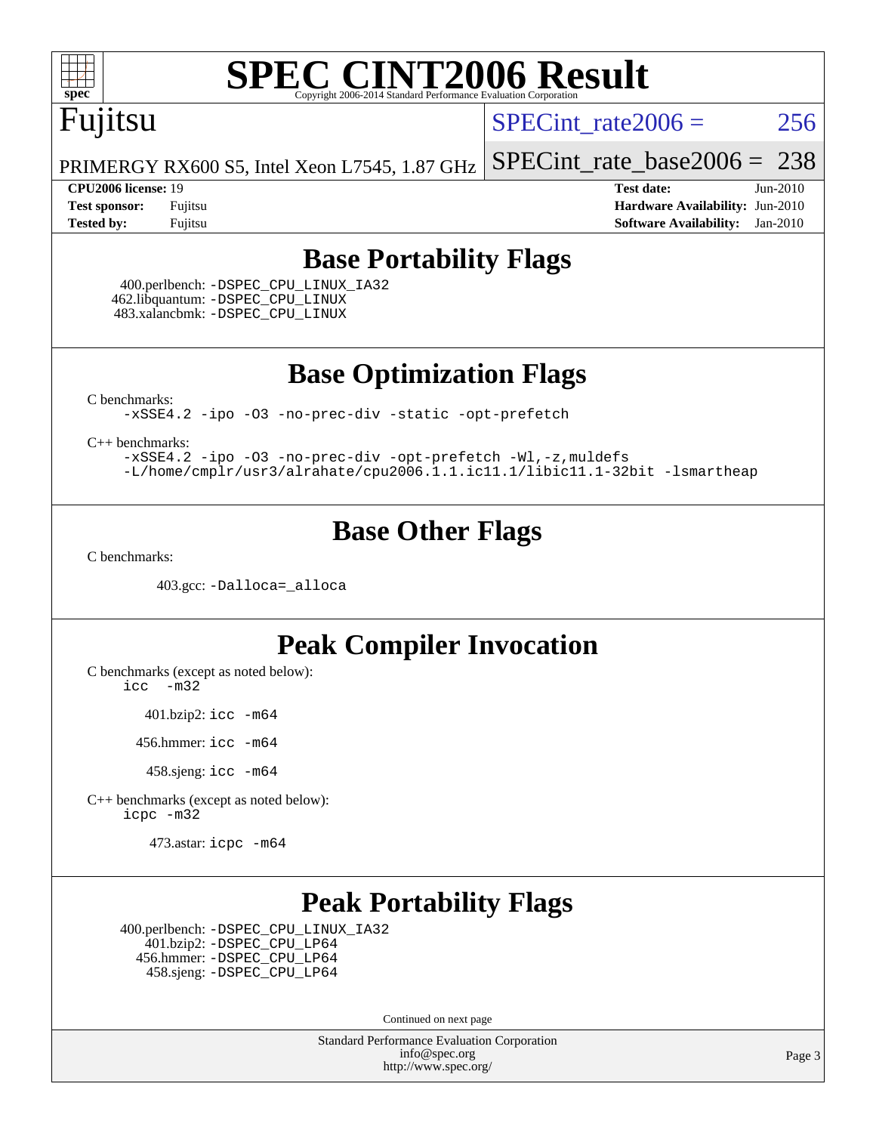

# Fujitsu

SPECint rate $2006 = 256$ 

[SPECint\\_rate\\_base2006 =](http://www.spec.org/auto/cpu2006/Docs/result-fields.html#SPECintratebase2006) 238

PRIMERGY RX600 S5, Intel Xeon L7545, 1.87 GHz

**[CPU2006 license:](http://www.spec.org/auto/cpu2006/Docs/result-fields.html#CPU2006license)** 19 **[Test date:](http://www.spec.org/auto/cpu2006/Docs/result-fields.html#Testdate)** Jun-2010 **[Test sponsor:](http://www.spec.org/auto/cpu2006/Docs/result-fields.html#Testsponsor)** Fujitsu **[Hardware Availability:](http://www.spec.org/auto/cpu2006/Docs/result-fields.html#HardwareAvailability)** Jun-2010 **[Tested by:](http://www.spec.org/auto/cpu2006/Docs/result-fields.html#Testedby)** Fujitsu **[Software Availability:](http://www.spec.org/auto/cpu2006/Docs/result-fields.html#SoftwareAvailability)** Jan-2010

### **[Base Portability Flags](http://www.spec.org/auto/cpu2006/Docs/result-fields.html#BasePortabilityFlags)**

 400.perlbench: [-DSPEC\\_CPU\\_LINUX\\_IA32](http://www.spec.org/cpu2006/results/res2010q3/cpu2006-20100702-12066.flags.html#b400.perlbench_baseCPORTABILITY_DSPEC_CPU_LINUX_IA32) 462.libquantum: [-DSPEC\\_CPU\\_LINUX](http://www.spec.org/cpu2006/results/res2010q3/cpu2006-20100702-12066.flags.html#b462.libquantum_baseCPORTABILITY_DSPEC_CPU_LINUX) 483.xalancbmk: [-DSPEC\\_CPU\\_LINUX](http://www.spec.org/cpu2006/results/res2010q3/cpu2006-20100702-12066.flags.html#b483.xalancbmk_baseCXXPORTABILITY_DSPEC_CPU_LINUX)

**[Base Optimization Flags](http://www.spec.org/auto/cpu2006/Docs/result-fields.html#BaseOptimizationFlags)**

[C benchmarks](http://www.spec.org/auto/cpu2006/Docs/result-fields.html#Cbenchmarks):

[-xSSE4.2](http://www.spec.org/cpu2006/results/res2010q3/cpu2006-20100702-12066.flags.html#user_CCbase_f-xSSE42_f91528193cf0b216347adb8b939d4107) [-ipo](http://www.spec.org/cpu2006/results/res2010q3/cpu2006-20100702-12066.flags.html#user_CCbase_f-ipo) [-O3](http://www.spec.org/cpu2006/results/res2010q3/cpu2006-20100702-12066.flags.html#user_CCbase_f-O3) [-no-prec-div](http://www.spec.org/cpu2006/results/res2010q3/cpu2006-20100702-12066.flags.html#user_CCbase_f-no-prec-div) [-static](http://www.spec.org/cpu2006/results/res2010q3/cpu2006-20100702-12066.flags.html#user_CCbase_f-static) [-opt-prefetch](http://www.spec.org/cpu2006/results/res2010q3/cpu2006-20100702-12066.flags.html#user_CCbase_f-opt-prefetch)

[C++ benchmarks:](http://www.spec.org/auto/cpu2006/Docs/result-fields.html#CXXbenchmarks)

[-xSSE4.2](http://www.spec.org/cpu2006/results/res2010q3/cpu2006-20100702-12066.flags.html#user_CXXbase_f-xSSE42_f91528193cf0b216347adb8b939d4107) [-ipo](http://www.spec.org/cpu2006/results/res2010q3/cpu2006-20100702-12066.flags.html#user_CXXbase_f-ipo) [-O3](http://www.spec.org/cpu2006/results/res2010q3/cpu2006-20100702-12066.flags.html#user_CXXbase_f-O3) [-no-prec-div](http://www.spec.org/cpu2006/results/res2010q3/cpu2006-20100702-12066.flags.html#user_CXXbase_f-no-prec-div) [-opt-prefetch](http://www.spec.org/cpu2006/results/res2010q3/cpu2006-20100702-12066.flags.html#user_CXXbase_f-opt-prefetch) [-Wl,-z,muldefs](http://www.spec.org/cpu2006/results/res2010q3/cpu2006-20100702-12066.flags.html#user_CXXbase_link_force_multiple1_74079c344b956b9658436fd1b6dd3a8a) [-L/home/cmplr/usr3/alrahate/cpu2006.1.1.ic11.1/libic11.1-32bit -lsmartheap](http://www.spec.org/cpu2006/results/res2010q3/cpu2006-20100702-12066.flags.html#user_CXXbase_SmartHeap_d86dffe4a79b79ef8890d5cce17030c3)

## **[Base Other Flags](http://www.spec.org/auto/cpu2006/Docs/result-fields.html#BaseOtherFlags)**

[C benchmarks](http://www.spec.org/auto/cpu2006/Docs/result-fields.html#Cbenchmarks):

403.gcc: [-Dalloca=\\_alloca](http://www.spec.org/cpu2006/results/res2010q3/cpu2006-20100702-12066.flags.html#b403.gcc_baseEXTRA_CFLAGS_Dalloca_be3056838c12de2578596ca5467af7f3)

### **[Peak Compiler Invocation](http://www.spec.org/auto/cpu2006/Docs/result-fields.html#PeakCompilerInvocation)**

[C benchmarks \(except as noted below\)](http://www.spec.org/auto/cpu2006/Docs/result-fields.html#Cbenchmarksexceptasnotedbelow):

[icc -m32](http://www.spec.org/cpu2006/results/res2010q3/cpu2006-20100702-12066.flags.html#user_CCpeak_intel_icc_32bit_5ff4a39e364c98233615fdd38438c6f2)

401.bzip2: [icc -m64](http://www.spec.org/cpu2006/results/res2010q3/cpu2006-20100702-12066.flags.html#user_peakCCLD401_bzip2_intel_icc_64bit_bda6cc9af1fdbb0edc3795bac97ada53)

456.hmmer: [icc -m64](http://www.spec.org/cpu2006/results/res2010q3/cpu2006-20100702-12066.flags.html#user_peakCCLD456_hmmer_intel_icc_64bit_bda6cc9af1fdbb0edc3795bac97ada53)

458.sjeng: [icc -m64](http://www.spec.org/cpu2006/results/res2010q3/cpu2006-20100702-12066.flags.html#user_peakCCLD458_sjeng_intel_icc_64bit_bda6cc9af1fdbb0edc3795bac97ada53)

[C++ benchmarks \(except as noted below\):](http://www.spec.org/auto/cpu2006/Docs/result-fields.html#CXXbenchmarksexceptasnotedbelow) [icpc -m32](http://www.spec.org/cpu2006/results/res2010q3/cpu2006-20100702-12066.flags.html#user_CXXpeak_intel_icpc_32bit_4e5a5ef1a53fd332b3c49e69c3330699)

473.astar: [icpc -m64](http://www.spec.org/cpu2006/results/res2010q3/cpu2006-20100702-12066.flags.html#user_peakCXXLD473_astar_intel_icpc_64bit_fc66a5337ce925472a5c54ad6a0de310)

# **[Peak Portability Flags](http://www.spec.org/auto/cpu2006/Docs/result-fields.html#PeakPortabilityFlags)**

 400.perlbench: [-DSPEC\\_CPU\\_LINUX\\_IA32](http://www.spec.org/cpu2006/results/res2010q3/cpu2006-20100702-12066.flags.html#b400.perlbench_peakCPORTABILITY_DSPEC_CPU_LINUX_IA32) 401.bzip2: [-DSPEC\\_CPU\\_LP64](http://www.spec.org/cpu2006/results/res2010q3/cpu2006-20100702-12066.flags.html#suite_peakCPORTABILITY401_bzip2_DSPEC_CPU_LP64) 456.hmmer: [-DSPEC\\_CPU\\_LP64](http://www.spec.org/cpu2006/results/res2010q3/cpu2006-20100702-12066.flags.html#suite_peakCPORTABILITY456_hmmer_DSPEC_CPU_LP64) 458.sjeng: [-DSPEC\\_CPU\\_LP64](http://www.spec.org/cpu2006/results/res2010q3/cpu2006-20100702-12066.flags.html#suite_peakCPORTABILITY458_sjeng_DSPEC_CPU_LP64)

Continued on next page

Standard Performance Evaluation Corporation [info@spec.org](mailto:info@spec.org) <http://www.spec.org/>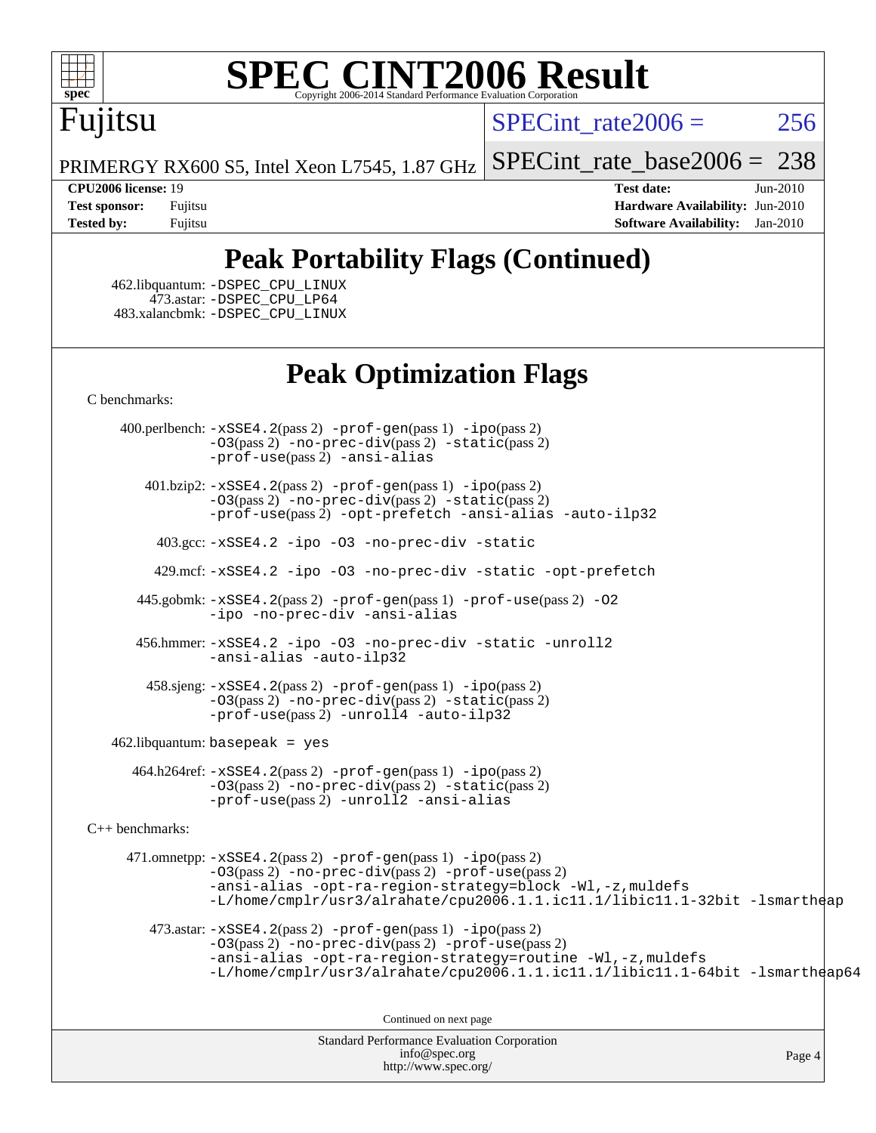

# Fujitsu

SPECint rate $2006 = 256$ 

[SPECint\\_rate\\_base2006 =](http://www.spec.org/auto/cpu2006/Docs/result-fields.html#SPECintratebase2006) 238

PRIMERGY RX600 S5, Intel Xeon L7545, 1.87 GHz

**[CPU2006 license:](http://www.spec.org/auto/cpu2006/Docs/result-fields.html#CPU2006license)** 19 **[Test date:](http://www.spec.org/auto/cpu2006/Docs/result-fields.html#Testdate)** Jun-2010 **[Test sponsor:](http://www.spec.org/auto/cpu2006/Docs/result-fields.html#Testsponsor)** Fujitsu **[Hardware Availability:](http://www.spec.org/auto/cpu2006/Docs/result-fields.html#HardwareAvailability)** Jun-2010 **[Tested by:](http://www.spec.org/auto/cpu2006/Docs/result-fields.html#Testedby)** Fujitsu **[Software Availability:](http://www.spec.org/auto/cpu2006/Docs/result-fields.html#SoftwareAvailability)** Jan-2010

# **[Peak Portability Flags \(Continued\)](http://www.spec.org/auto/cpu2006/Docs/result-fields.html#PeakPortabilityFlags)**

 462.libquantum: [-DSPEC\\_CPU\\_LINUX](http://www.spec.org/cpu2006/results/res2010q3/cpu2006-20100702-12066.flags.html#b462.libquantum_peakCPORTABILITY_DSPEC_CPU_LINUX) 473.astar: [-DSPEC\\_CPU\\_LP64](http://www.spec.org/cpu2006/results/res2010q3/cpu2006-20100702-12066.flags.html#suite_peakCXXPORTABILITY473_astar_DSPEC_CPU_LP64) 483.xalancbmk: [-DSPEC\\_CPU\\_LINUX](http://www.spec.org/cpu2006/results/res2010q3/cpu2006-20100702-12066.flags.html#b483.xalancbmk_peakCXXPORTABILITY_DSPEC_CPU_LINUX)

# **[Peak Optimization Flags](http://www.spec.org/auto/cpu2006/Docs/result-fields.html#PeakOptimizationFlags)**

[C benchmarks](http://www.spec.org/auto/cpu2006/Docs/result-fields.html#Cbenchmarks):

 400.perlbench: [-xSSE4.2](http://www.spec.org/cpu2006/results/res2010q3/cpu2006-20100702-12066.flags.html#user_peakPASS2_CFLAGSPASS2_LDCFLAGS400_perlbench_f-xSSE42_f91528193cf0b216347adb8b939d4107)(pass 2) [-prof-gen](http://www.spec.org/cpu2006/results/res2010q3/cpu2006-20100702-12066.flags.html#user_peakPASS1_CFLAGSPASS1_LDCFLAGS400_perlbench_prof_gen_e43856698f6ca7b7e442dfd80e94a8fc)(pass 1) [-ipo](http://www.spec.org/cpu2006/results/res2010q3/cpu2006-20100702-12066.flags.html#user_peakPASS2_CFLAGSPASS2_LDCFLAGS400_perlbench_f-ipo)(pass 2) [-O3](http://www.spec.org/cpu2006/results/res2010q3/cpu2006-20100702-12066.flags.html#user_peakPASS2_CFLAGSPASS2_LDCFLAGS400_perlbench_f-O3)(pass 2) [-no-prec-div](http://www.spec.org/cpu2006/results/res2010q3/cpu2006-20100702-12066.flags.html#user_peakPASS2_CFLAGSPASS2_LDCFLAGS400_perlbench_f-no-prec-div)(pass 2) [-static](http://www.spec.org/cpu2006/results/res2010q3/cpu2006-20100702-12066.flags.html#user_peakPASS2_CFLAGSPASS2_LDCFLAGS400_perlbench_f-static)(pass 2) [-prof-use](http://www.spec.org/cpu2006/results/res2010q3/cpu2006-20100702-12066.flags.html#user_peakPASS2_CFLAGSPASS2_LDCFLAGS400_perlbench_prof_use_bccf7792157ff70d64e32fe3e1250b55)(pass 2) [-ansi-alias](http://www.spec.org/cpu2006/results/res2010q3/cpu2006-20100702-12066.flags.html#user_peakCOPTIMIZE400_perlbench_f-ansi-alias)

 401.bzip2: [-xSSE4.2](http://www.spec.org/cpu2006/results/res2010q3/cpu2006-20100702-12066.flags.html#user_peakPASS2_CFLAGSPASS2_LDCFLAGS401_bzip2_f-xSSE42_f91528193cf0b216347adb8b939d4107)(pass 2) [-prof-gen](http://www.spec.org/cpu2006/results/res2010q3/cpu2006-20100702-12066.flags.html#user_peakPASS1_CFLAGSPASS1_LDCFLAGS401_bzip2_prof_gen_e43856698f6ca7b7e442dfd80e94a8fc)(pass 1) [-ipo](http://www.spec.org/cpu2006/results/res2010q3/cpu2006-20100702-12066.flags.html#user_peakPASS2_CFLAGSPASS2_LDCFLAGS401_bzip2_f-ipo)(pass 2) [-O3](http://www.spec.org/cpu2006/results/res2010q3/cpu2006-20100702-12066.flags.html#user_peakPASS2_CFLAGSPASS2_LDCFLAGS401_bzip2_f-O3)(pass 2) [-no-prec-div](http://www.spec.org/cpu2006/results/res2010q3/cpu2006-20100702-12066.flags.html#user_peakPASS2_CFLAGSPASS2_LDCFLAGS401_bzip2_f-no-prec-div)(pass 2) [-static](http://www.spec.org/cpu2006/results/res2010q3/cpu2006-20100702-12066.flags.html#user_peakPASS2_CFLAGSPASS2_LDCFLAGS401_bzip2_f-static)(pass 2) [-prof-use](http://www.spec.org/cpu2006/results/res2010q3/cpu2006-20100702-12066.flags.html#user_peakPASS2_CFLAGSPASS2_LDCFLAGS401_bzip2_prof_use_bccf7792157ff70d64e32fe3e1250b55)(pass 2) [-opt-prefetch](http://www.spec.org/cpu2006/results/res2010q3/cpu2006-20100702-12066.flags.html#user_peakCOPTIMIZE401_bzip2_f-opt-prefetch) [-ansi-alias](http://www.spec.org/cpu2006/results/res2010q3/cpu2006-20100702-12066.flags.html#user_peakCOPTIMIZE401_bzip2_f-ansi-alias) [-auto-ilp32](http://www.spec.org/cpu2006/results/res2010q3/cpu2006-20100702-12066.flags.html#user_peakCOPTIMIZE401_bzip2_f-auto-ilp32)

403.gcc: [-xSSE4.2](http://www.spec.org/cpu2006/results/res2010q3/cpu2006-20100702-12066.flags.html#user_peakCOPTIMIZE403_gcc_f-xSSE42_f91528193cf0b216347adb8b939d4107) [-ipo](http://www.spec.org/cpu2006/results/res2010q3/cpu2006-20100702-12066.flags.html#user_peakCOPTIMIZE403_gcc_f-ipo) [-O3](http://www.spec.org/cpu2006/results/res2010q3/cpu2006-20100702-12066.flags.html#user_peakCOPTIMIZE403_gcc_f-O3) [-no-prec-div](http://www.spec.org/cpu2006/results/res2010q3/cpu2006-20100702-12066.flags.html#user_peakCOPTIMIZE403_gcc_f-no-prec-div) [-static](http://www.spec.org/cpu2006/results/res2010q3/cpu2006-20100702-12066.flags.html#user_peakCOPTIMIZE403_gcc_f-static)

429.mcf: [-xSSE4.2](http://www.spec.org/cpu2006/results/res2010q3/cpu2006-20100702-12066.flags.html#user_peakCOPTIMIZE429_mcf_f-xSSE42_f91528193cf0b216347adb8b939d4107) [-ipo](http://www.spec.org/cpu2006/results/res2010q3/cpu2006-20100702-12066.flags.html#user_peakCOPTIMIZE429_mcf_f-ipo) [-O3](http://www.spec.org/cpu2006/results/res2010q3/cpu2006-20100702-12066.flags.html#user_peakCOPTIMIZE429_mcf_f-O3) [-no-prec-div](http://www.spec.org/cpu2006/results/res2010q3/cpu2006-20100702-12066.flags.html#user_peakCOPTIMIZE429_mcf_f-no-prec-div) [-static](http://www.spec.org/cpu2006/results/res2010q3/cpu2006-20100702-12066.flags.html#user_peakCOPTIMIZE429_mcf_f-static) [-opt-prefetch](http://www.spec.org/cpu2006/results/res2010q3/cpu2006-20100702-12066.flags.html#user_peakCOPTIMIZE429_mcf_f-opt-prefetch)

 445.gobmk: [-xSSE4.2](http://www.spec.org/cpu2006/results/res2010q3/cpu2006-20100702-12066.flags.html#user_peakPASS2_CFLAGSPASS2_LDCFLAGS445_gobmk_f-xSSE42_f91528193cf0b216347adb8b939d4107)(pass 2) [-prof-gen](http://www.spec.org/cpu2006/results/res2010q3/cpu2006-20100702-12066.flags.html#user_peakPASS1_CFLAGSPASS1_LDCFLAGS445_gobmk_prof_gen_e43856698f6ca7b7e442dfd80e94a8fc)(pass 1) [-prof-use](http://www.spec.org/cpu2006/results/res2010q3/cpu2006-20100702-12066.flags.html#user_peakPASS2_CFLAGSPASS2_LDCFLAGS445_gobmk_prof_use_bccf7792157ff70d64e32fe3e1250b55)(pass 2) [-O2](http://www.spec.org/cpu2006/results/res2010q3/cpu2006-20100702-12066.flags.html#user_peakCOPTIMIZE445_gobmk_f-O2) [-ipo](http://www.spec.org/cpu2006/results/res2010q3/cpu2006-20100702-12066.flags.html#user_peakCOPTIMIZE445_gobmk_f-ipo) [-no-prec-div](http://www.spec.org/cpu2006/results/res2010q3/cpu2006-20100702-12066.flags.html#user_peakCOPTIMIZE445_gobmk_f-no-prec-div) [-ansi-alias](http://www.spec.org/cpu2006/results/res2010q3/cpu2006-20100702-12066.flags.html#user_peakCOPTIMIZE445_gobmk_f-ansi-alias)

 456.hmmer: [-xSSE4.2](http://www.spec.org/cpu2006/results/res2010q3/cpu2006-20100702-12066.flags.html#user_peakCOPTIMIZE456_hmmer_f-xSSE42_f91528193cf0b216347adb8b939d4107) [-ipo](http://www.spec.org/cpu2006/results/res2010q3/cpu2006-20100702-12066.flags.html#user_peakCOPTIMIZE456_hmmer_f-ipo) [-O3](http://www.spec.org/cpu2006/results/res2010q3/cpu2006-20100702-12066.flags.html#user_peakCOPTIMIZE456_hmmer_f-O3) [-no-prec-div](http://www.spec.org/cpu2006/results/res2010q3/cpu2006-20100702-12066.flags.html#user_peakCOPTIMIZE456_hmmer_f-no-prec-div) [-static](http://www.spec.org/cpu2006/results/res2010q3/cpu2006-20100702-12066.flags.html#user_peakCOPTIMIZE456_hmmer_f-static) [-unroll2](http://www.spec.org/cpu2006/results/res2010q3/cpu2006-20100702-12066.flags.html#user_peakCOPTIMIZE456_hmmer_f-unroll_784dae83bebfb236979b41d2422d7ec2) [-ansi-alias](http://www.spec.org/cpu2006/results/res2010q3/cpu2006-20100702-12066.flags.html#user_peakCOPTIMIZE456_hmmer_f-ansi-alias) [-auto-ilp32](http://www.spec.org/cpu2006/results/res2010q3/cpu2006-20100702-12066.flags.html#user_peakCOPTIMIZE456_hmmer_f-auto-ilp32)

 458.sjeng: [-xSSE4.2](http://www.spec.org/cpu2006/results/res2010q3/cpu2006-20100702-12066.flags.html#user_peakPASS2_CFLAGSPASS2_LDCFLAGS458_sjeng_f-xSSE42_f91528193cf0b216347adb8b939d4107)(pass 2) [-prof-gen](http://www.spec.org/cpu2006/results/res2010q3/cpu2006-20100702-12066.flags.html#user_peakPASS1_CFLAGSPASS1_LDCFLAGS458_sjeng_prof_gen_e43856698f6ca7b7e442dfd80e94a8fc)(pass 1) [-ipo](http://www.spec.org/cpu2006/results/res2010q3/cpu2006-20100702-12066.flags.html#user_peakPASS2_CFLAGSPASS2_LDCFLAGS458_sjeng_f-ipo)(pass 2) [-O3](http://www.spec.org/cpu2006/results/res2010q3/cpu2006-20100702-12066.flags.html#user_peakPASS2_CFLAGSPASS2_LDCFLAGS458_sjeng_f-O3)(pass 2) [-no-prec-div](http://www.spec.org/cpu2006/results/res2010q3/cpu2006-20100702-12066.flags.html#user_peakPASS2_CFLAGSPASS2_LDCFLAGS458_sjeng_f-no-prec-div)(pass 2) [-static](http://www.spec.org/cpu2006/results/res2010q3/cpu2006-20100702-12066.flags.html#user_peakPASS2_CFLAGSPASS2_LDCFLAGS458_sjeng_f-static)(pass 2)  $-prof-use(pass 2) -unroll4 -auto-ilp32$  $-prof-use(pass 2) -unroll4 -auto-ilp32$  $-prof-use(pass 2) -unroll4 -auto-ilp32$  $-prof-use(pass 2) -unroll4 -auto-ilp32$  $-prof-use(pass 2) -unroll4 -auto-ilp32$ 

462.libquantum: basepeak = yes

 464.h264ref: [-xSSE4.2](http://www.spec.org/cpu2006/results/res2010q3/cpu2006-20100702-12066.flags.html#user_peakPASS2_CFLAGSPASS2_LDCFLAGS464_h264ref_f-xSSE42_f91528193cf0b216347adb8b939d4107)(pass 2) [-prof-gen](http://www.spec.org/cpu2006/results/res2010q3/cpu2006-20100702-12066.flags.html#user_peakPASS1_CFLAGSPASS1_LDCFLAGS464_h264ref_prof_gen_e43856698f6ca7b7e442dfd80e94a8fc)(pass 1) [-ipo](http://www.spec.org/cpu2006/results/res2010q3/cpu2006-20100702-12066.flags.html#user_peakPASS2_CFLAGSPASS2_LDCFLAGS464_h264ref_f-ipo)(pass 2) [-O3](http://www.spec.org/cpu2006/results/res2010q3/cpu2006-20100702-12066.flags.html#user_peakPASS2_CFLAGSPASS2_LDCFLAGS464_h264ref_f-O3)(pass 2) [-no-prec-div](http://www.spec.org/cpu2006/results/res2010q3/cpu2006-20100702-12066.flags.html#user_peakPASS2_CFLAGSPASS2_LDCFLAGS464_h264ref_f-no-prec-div)(pass 2) [-static](http://www.spec.org/cpu2006/results/res2010q3/cpu2006-20100702-12066.flags.html#user_peakPASS2_CFLAGSPASS2_LDCFLAGS464_h264ref_f-static)(pass 2) [-prof-use](http://www.spec.org/cpu2006/results/res2010q3/cpu2006-20100702-12066.flags.html#user_peakPASS2_CFLAGSPASS2_LDCFLAGS464_h264ref_prof_use_bccf7792157ff70d64e32fe3e1250b55)(pass 2) [-unroll2](http://www.spec.org/cpu2006/results/res2010q3/cpu2006-20100702-12066.flags.html#user_peakCOPTIMIZE464_h264ref_f-unroll_784dae83bebfb236979b41d2422d7ec2) [-ansi-alias](http://www.spec.org/cpu2006/results/res2010q3/cpu2006-20100702-12066.flags.html#user_peakCOPTIMIZE464_h264ref_f-ansi-alias)

[C++ benchmarks:](http://www.spec.org/auto/cpu2006/Docs/result-fields.html#CXXbenchmarks)

 471.omnetpp: [-xSSE4.2](http://www.spec.org/cpu2006/results/res2010q3/cpu2006-20100702-12066.flags.html#user_peakPASS2_CXXFLAGSPASS2_LDCXXFLAGS471_omnetpp_f-xSSE42_f91528193cf0b216347adb8b939d4107)(pass 2) [-prof-gen](http://www.spec.org/cpu2006/results/res2010q3/cpu2006-20100702-12066.flags.html#user_peakPASS1_CXXFLAGSPASS1_LDCXXFLAGS471_omnetpp_prof_gen_e43856698f6ca7b7e442dfd80e94a8fc)(pass 1) [-ipo](http://www.spec.org/cpu2006/results/res2010q3/cpu2006-20100702-12066.flags.html#user_peakPASS2_CXXFLAGSPASS2_LDCXXFLAGS471_omnetpp_f-ipo)(pass 2) [-O3](http://www.spec.org/cpu2006/results/res2010q3/cpu2006-20100702-12066.flags.html#user_peakPASS2_CXXFLAGSPASS2_LDCXXFLAGS471_omnetpp_f-O3)(pass 2) [-no-prec-div](http://www.spec.org/cpu2006/results/res2010q3/cpu2006-20100702-12066.flags.html#user_peakPASS2_CXXFLAGSPASS2_LDCXXFLAGS471_omnetpp_f-no-prec-div)(pass 2) [-prof-use](http://www.spec.org/cpu2006/results/res2010q3/cpu2006-20100702-12066.flags.html#user_peakPASS2_CXXFLAGSPASS2_LDCXXFLAGS471_omnetpp_prof_use_bccf7792157ff70d64e32fe3e1250b55)(pass 2) [-ansi-alias](http://www.spec.org/cpu2006/results/res2010q3/cpu2006-20100702-12066.flags.html#user_peakCXXOPTIMIZE471_omnetpp_f-ansi-alias) [-opt-ra-region-strategy=block](http://www.spec.org/cpu2006/results/res2010q3/cpu2006-20100702-12066.flags.html#user_peakCXXOPTIMIZE471_omnetpp_f-opt-ra-region-strategy-block_a0a37c372d03933b2a18d4af463c1f69) [-Wl,-z,muldefs](http://www.spec.org/cpu2006/results/res2010q3/cpu2006-20100702-12066.flags.html#user_peakEXTRA_LDFLAGS471_omnetpp_link_force_multiple1_74079c344b956b9658436fd1b6dd3a8a) [-L/home/cmplr/usr3/alrahate/cpu2006.1.1.ic11.1/libic11.1-32bit -lsmartheap](http://www.spec.org/cpu2006/results/res2010q3/cpu2006-20100702-12066.flags.html#user_peakEXTRA_LIBS471_omnetpp_SmartHeap_d86dffe4a79b79ef8890d5cce17030c3)

473.astar:  $-xSSE4$ . 2(pass 2)  $-prof-gen(pass 1) -ipo(pass 2)$  $-prof-gen(pass 1) -ipo(pass 2)$  $-prof-gen(pass 1) -ipo(pass 2)$  $-prof-gen(pass 1) -ipo(pass 2)$ [-O3](http://www.spec.org/cpu2006/results/res2010q3/cpu2006-20100702-12066.flags.html#user_peakPASS2_CXXFLAGSPASS2_LDCXXFLAGS473_astar_f-O3)(pass 2) [-no-prec-div](http://www.spec.org/cpu2006/results/res2010q3/cpu2006-20100702-12066.flags.html#user_peakPASS2_CXXFLAGSPASS2_LDCXXFLAGS473_astar_f-no-prec-div)(pass 2) [-prof-use](http://www.spec.org/cpu2006/results/res2010q3/cpu2006-20100702-12066.flags.html#user_peakPASS2_CXXFLAGSPASS2_LDCXXFLAGS473_astar_prof_use_bccf7792157ff70d64e32fe3e1250b55)(pass 2) [-ansi-alias](http://www.spec.org/cpu2006/results/res2010q3/cpu2006-20100702-12066.flags.html#user_peakCXXOPTIMIZE473_astar_f-ansi-alias) [-opt-ra-region-strategy=routine](http://www.spec.org/cpu2006/results/res2010q3/cpu2006-20100702-12066.flags.html#user_peakCXXOPTIMIZE473_astar_f-opt-ra-region-strategy-routine_ba086ea3b1d46a52e1238e2ca173ed44) [-Wl,-z,muldefs](http://www.spec.org/cpu2006/results/res2010q3/cpu2006-20100702-12066.flags.html#user_peakEXTRA_LDFLAGS473_astar_link_force_multiple1_74079c344b956b9658436fd1b6dd3a8a) [-L/home/cmplr/usr3/alrahate/cpu2006.1.1.ic11.1/libic11.1-64bit -lsmartheap64](http://www.spec.org/cpu2006/results/res2010q3/cpu2006-20100702-12066.flags.html#user_peakEXTRA_LIBS473_astar_SmartHeap64_e2306cda84805d1ab360117a79ff779c)

Continued on next page

Standard Performance Evaluation Corporation [info@spec.org](mailto:info@spec.org) <http://www.spec.org/>

Page 4